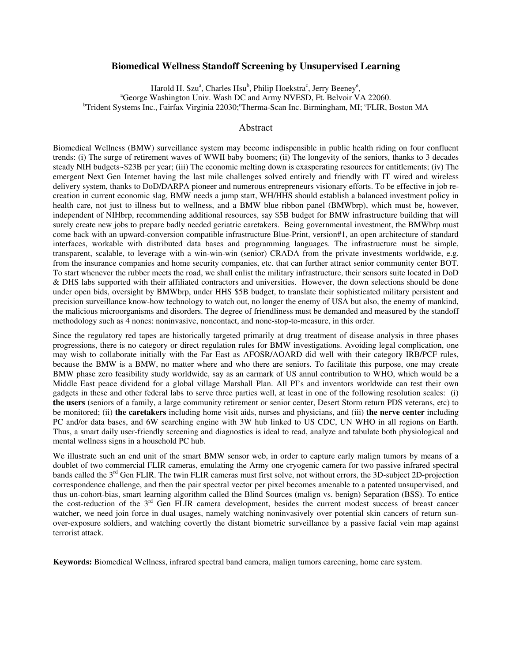### **Biomedical Wellness Standoff Screening by Unsupervised Learning**

Harold H. Szu<sup>a</sup>, Charles Hsu<sup>b</sup>, Philip Hoekstra<sup>c</sup>, Jerry Beeney<sup>e</sup>, <sup>a</sup>George Washington Univ. Wash DC and Army NVESD, Ft. Belvoir VA 22060. <sup>b</sup>Trident Systems Inc., Fairfax Virginia 22030; Therma-Scan Inc. Birmingham, MI; <sup>e</sup>FLIR, Boston MA

#### Abstract

Biomedical Wellness (BMW) surveillance system may become indispensible in public health riding on four confluent trends: (i) The surge of retirement waves of WWII baby boomers; (ii) The longevity of the seniors, thanks to 3 decades steady NIH budgets~\$23B per year; (iii) The economic melting down is exasperating resources for entitlements; (iv) The emergent Next Gen Internet having the last mile challenges solved entirely and friendly with IT wired and wireless delivery system, thanks to DoD/DARPA pioneer and numerous entrepreneurs visionary efforts. To be effective in job recreation in current economic slag, BMW needs a jump start, WH/HHS should establish a balanced investment policy in health care, not just to illness but to wellness, and a BMW blue ribbon panel (BMWbrp), which must be, however, independent of NIHbrp, recommending additional resources, say \$5B budget for BMW infrastructure building that will surely create new jobs to prepare badly needed geriatric caretakers. Being governmental investment, the BMWbrp must come back with an upward-conversion compatible infrastructure Blue-Print, version#1, an open architecture of standard interfaces, workable with distributed data bases and programming languages. The infrastructure must be simple, transparent, scalable, to leverage with a win-win-win (senior) CRADA from the private investments worldwide, e.g. from the insurance companies and home security companies, etc. that can further attract senior community center BOT. To start whenever the rubber meets the road, we shall enlist the military infrastructure, their sensors suite located in DoD & DHS labs supported with their affiliated contractors and universities. However, the down selections should be done under open bids, oversight by BMWbrp, under HHS \$5B budget, to translate their sophisticated military persistent and precision surveillance know-how technology to watch out, no longer the enemy of USA but also, the enemy of mankind, the malicious microorganisms and disorders. The degree of friendliness must be demanded and measured by the standoff methodology such as 4 nones: noninvasive, noncontact, and none-stop-to-measure, in this order.

Since the regulatory red tapes are historically targeted primarily at drug treatment of disease analysis in three phases progressions, there is no category or direct regulation rules for BMW investigations. Avoiding legal complication, one may wish to collaborate initially with the Far East as AFOSR/AOARD did well with their category IRB/PCF rules, because the BMW is a BMW, no matter where and who there are seniors. To facilitate this purpose, one may create BMW phase zero feasibility study worldwide, say as an earmark of US annul contribution to WHO, which would be a Middle East peace dividend for a global village Marshall Plan. All PI's and inventors worldwide can test their own gadgets in these and other federal labs to serve three parties well, at least in one of the following resolution scales: (i) **the users** (seniors of a family, a large community retirement or senior center, Desert Storm return PDS veterans, etc) to be monitored; (ii) **the caretakers** including home visit aids, nurses and physicians, and (iii) **the nerve center** including PC and/or data bases, and 6W searching engine with 3W hub linked to US CDC, UN WHO in all regions on Earth. Thus, a smart daily user-friendly screening and diagnostics is ideal to read, analyze and tabulate both physiological and mental wellness signs in a household PC hub.

We illustrate such an end unit of the smart BMW sensor web, in order to capture early malign tumors by means of a doublet of two commercial FLIR cameras, emulating the Army one cryogenic camera for two passive infrared spectral bands called the 3<sup>rd</sup> Gen FLIR. The twin FLIR cameras must first solve, not without errors, the 3D-subject 2D-projection correspondence challenge, and then the pair spectral vector per pixel becomes amenable to a patented unsupervised, and thus un-cohort-bias, smart learning algorithm called the Blind Sources (malign vs. benign) Separation (BSS). To entice the cost-reduction of the 3<sup>rd</sup> Gen FLIR camera development, besides the current modest success of breast cancer watcher, we need join force in dual usages, namely watching noninvasively over potential skin cancers of return sunover-exposure soldiers, and watching covertly the distant biometric surveillance by a passive facial vein map against terrorist attack.

**Keywords:** Biomedical Wellness, infrared spectral band camera, malign tumors careening, home care system.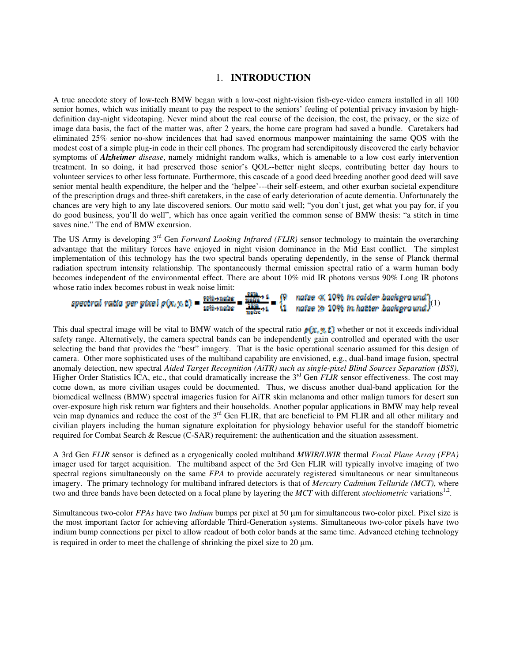## 1. **INTRODUCTION**

A true anecdote story of low-tech BMW began with a low-cost night-vision fish-eye-video camera installed in all 100 senior homes, which was initially meant to pay the respect to the seniors' feeling of potential privacy invasion by highdefinition day-night videotaping. Never mind about the real course of the decision, the cost, the privacy, or the size of image data basis, the fact of the matter was, after 2 years, the home care program had saved a bundle. Caretakers had eliminated 25% senior no-show incidences that had saved enormous manpower maintaining the same QOS with the modest cost of a simple plug-in code in their cell phones. The program had serendipitously discovered the early behavior symptoms of *Alzheimer disease*, namely midnight random walks, which is amenable to a low cost early intervention treatment. In so doing, it had preserved those senior's QOL--better night sleeps, contributing better day hours to volunteer services to other less fortunate. Furthermore, this cascade of a good deed breeding another good deed will save senior mental health expenditure, the helper and the 'helpee'---their self-esteem, and other exurban societal expenditure of the prescription drugs and three-shift caretakers, in the case of early deterioration of acute dementia. Unfortunately the chances are very high to any late discovered seniors. Our motto said well; "you don't just, get what you pay for, if you do good business, you'll do well", which has once again verified the common sense of BMW thesis: "a stitch in time saves nine." The end of BMW excursion.

The US Army is developing 3<sup>rd</sup> Gen *Forward Looking Infrared (FLIR)* sensor technology to maintain the overarching advantage that the military forces have enjoyed in night vision dominance in the Mid East conflict. The simplest implementation of this technology has the two spectral bands operating dependently, in the sense of Planck thermal radiation spectrum intensity relationship. The spontaneously thermal emission spectral ratio of a warm human body becomes independent of the environmental effect. There are about 10% mid IR photons versus 90% Long IR photons whose ratio index becomes robust in weak noise limit:

| spectral ratio per pixel $\rho(x, y, t) = \frac{y\theta t + n\omega t e}{y\theta t + n\omega t e} = \frac{\frac{y\theta t}{y\theta t e} + 1}{\frac{y\theta t}{y\theta t e} + 1} = \frac{y\theta}{11}$ naise $\gg 10\%$ in hatter backgraund)(1) |  |  |  |
|-------------------------------------------------------------------------------------------------------------------------------------------------------------------------------------------------------------------------------------------------|--|--|--|
|                                                                                                                                                                                                                                                 |  |  |  |

This dual spectral image will be vital to BMW watch of the spectral ratio  $p(x, y, t)$  whether or not it exceeds individual safety range. Alternatively, the camera spectral bands can be independently gain controlled and operated with the user selecting the band that provides the "best" imagery. That is the basic operational scenario assumed for this design of camera. Other more sophisticated uses of the multiband capability are envisioned, e.g., dual-band image fusion, spectral anomaly detection, new spectral *Aided Target Recognition (AiTR) such as single-pixel Blind Sources Separation (BSS)*, Higher Order Statistics ICA, etc., that could dramatically increase the 3<sup>rd</sup> Gen *FLIR* sensor effectiveness. The cost may come down, as more civilian usages could be documented. Thus, we discuss another dual-band application for the biomedical wellness (BMW) spectral imageries fusion for AiTR skin melanoma and other malign tumors for desert sun over-exposure high risk return war fighters and their households. Another popular applications in BMW may help reveal vein map dynamics and reduce the cost of the 3<sup>rd</sup> Gen FLIR, that are beneficial to PM FLIR and all other military and civilian players including the human signature exploitation for physiology behavior useful for the standoff biometric required for Combat Search & Rescue (C-SAR) requirement: the authentication and the situation assessment.

A 3rd Gen *FLIR* sensor is defined as a cryogenically cooled multiband *MWIR/LWIR* thermal *Focal Plane Array (FPA)* imager used for target acquisition. The multiband aspect of the 3rd Gen FLIR will typically involve imaging of two spectral regions simultaneously on the same *FPA* to provide accurately registered simultaneous or near simultaneous imagery. The primary technology for multiband infrared detectors is that of *Mercury Cadmium Telluride (MCT)*, where two and three bands have been detected on a focal plane by layering the *MCT* with different *stochiometric* variations<sup>1.2</sup>.

Simultaneous two-color *FPAs* have two *Indium* bumps per pixel at 50 μm for simultaneous two-color pixel. Pixel size is the most important factor for achieving affordable Third-Generation systems. Simultaneous two-color pixels have two indium bump connections per pixel to allow readout of both color bands at the same time. Advanced etching technology is required in order to meet the challenge of shrinking the pixel size to 20 μm.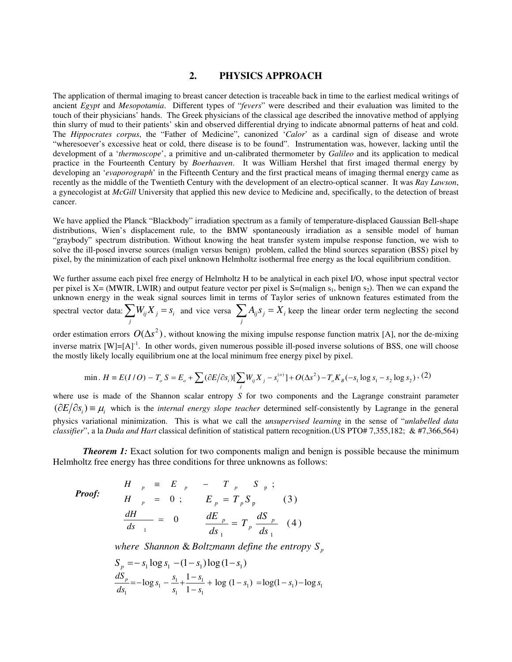## **2. PHYSICS APPROACH**

The application of thermal imaging to breast cancer detection is traceable back in time to the earliest medical writings of ancient *Egypt* and *Mesopotamia*. Different types of "*fevers*" were described and their evaluation was limited to the touch of their physicians' hands. The Greek physicians of the classical age described the innovative method of applying thin slurry of mud to their patients' skin and observed differential drying to indicate abnormal patterns of heat and cold. The *Hippocrates corpus*, the "Father of Medicine", canonized '*Calor*' as a cardinal sign of disease and wrote "wheresoever's excessive heat or cold, there disease is to be found". Instrumentation was, however, lacking until the development of a '*thermoscope*', a primitive and un-calibrated thermometer by *Galileo* and its application to medical practice in the Fourteenth Century by *Boerhaaven*. It was William Hershel that first imaged thermal energy by developing an '*evaporograph*' in the Fifteenth Century and the first practical means of imaging thermal energy came as recently as the middle of the Twentieth Century with the development of an electro-optical scanner. It was *Ray Lawson*, a gynecologist at *McGill* University that applied this new device to Medicine and, specifically, to the detection of breast cancer.

We have applied the Planck "Blackbody" irradiation spectrum as a family of temperature-displaced Gaussian Bell-shape distributions, Wien's displacement rule, to the BMW spontaneously irradiation as a sensible model of human "graybody" spectrum distribution. Without knowing the heat transfer system impulse response function, we wish to solve the ill-posed inverse sources (malign versus benign) problem, called the blind sources separation (BSS) pixel by pixel, by the minimization of each pixel unknown Helmholtz isothermal free energy as the local equilibrium condition.

We further assume each pixel free energy of Helmholtz H to be analytical in each pixel I/O, whose input spectral vector per pixel is  $X = (MWR, LWIR)$  and output feature vector per pixel is  $S = (malign s_1, benign s_2)$ . Then we can expand the unknown energy in the weak signal sources limit in terms of Taylor series of unknown features estimated from the spectral vector data:  $\sum_{j} W_{ij} X_{j} = s_{i}$  and vice versa  $\sum_{j} A_{ij} s_{j} =$  $A_{ij}S_j = X_i$  keep the linear order term neglecting the second

order estimation errors  $O(\Delta s^2)$ , without knowing the mixing impulse response function matrix [A], nor the de-mixing inverse matrix  $[W] = [A]^1$ . In other words, given numerous possible ill-posed inverse solutions of BSS, one will choose the mostly likely locally equilibrium one at the local minimum free energy pixel by pixel.

min. 
$$
H = E(I/O) - T_o S = E_o + \sum (\partial E/\partial s_i) [\sum_j W_{ij} X_j - s_i^{(o)}] + O(\Delta s^2) - T_o K_B(-s_1 \log s_1 - s_2 \log s_2)
$$
, (2)

where use is made of the Shannon scalar entropy *S* for two components and the Lagrange constraint parameter  $(\partial E/\partial s_i) \equiv \mu_i$  which is the *internal energy slope teacher* determined self-consistently by Lagrange in the general physics variational minimization. This is what we call the *unsupervised learning* in the sense of "*unlabelled data classifier*", a la *Duda and Hart* classical definition of statistical pattern recognition.(US PTO# 7,355,182; & #7,366,564)

*Theorem 1:* Exact solution for two components malign and benign is possible because the minimum Helmholtz free energy has three conditions for three unknowns as follows:

*Proof:*  
\n
$$
\begin{array}{rcl}\nH &_{p} & \equiv & E &_{p} - T &_{p} & S &_{p} ; \\
H &_{p} & = & 0 & ; \\
\frac{dH}{ds} &_{1} & = & 0\n\end{array}\n\quad\n\begin{array}{rcl}\nE &_{p} & = & T &_{p} & S &_{p} ; \\
E &_{p} & = & T &_{p} & S &_{p} \\
\frac{dE}{ds} &_{1} & = & T &_{p} & \frac{dS}{ds} &_{p} \\
\end{array}\n\quad (3)
$$

*where Shannon* & *Boltzmann define the entropy S<sup>p</sup>*

$$
S_p = -s_1 \log s_1 - (1 - s_1) \log (1 - s_1)
$$
  
\n
$$
\frac{dS_p}{ds_1} = -\log s_1 - \frac{s_1}{s_1} + \frac{1 - s_1}{1 - s_1} + \log (1 - s_1) = \log(1 - s_1) - \log s_1
$$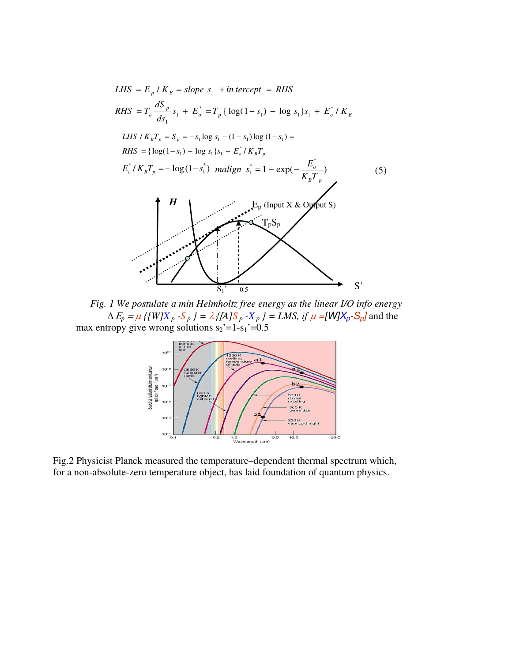

*Fig. 1 We postulate a min Helmholtz free energy as the linear I/O info energy*   $\Delta E_p = \mu$  *{*[W]X<sub>p</sub> -S<sub>p</sub> } =  $\lambda$  {[A]S<sub>p</sub> -X<sub>p</sub> } = LMS, if  $\mu$  =[W]X<sub>p</sub>-S<sub>p</sub>] and the max entropy give wrong solutions  $s_2$ '=1- $s_1$ '=0.5



Fig.2 Physicist Planck measured the temperature–dependent thermal spectrum which, for a non-absolute-zero temperature object, has laid foundation of quantum physics.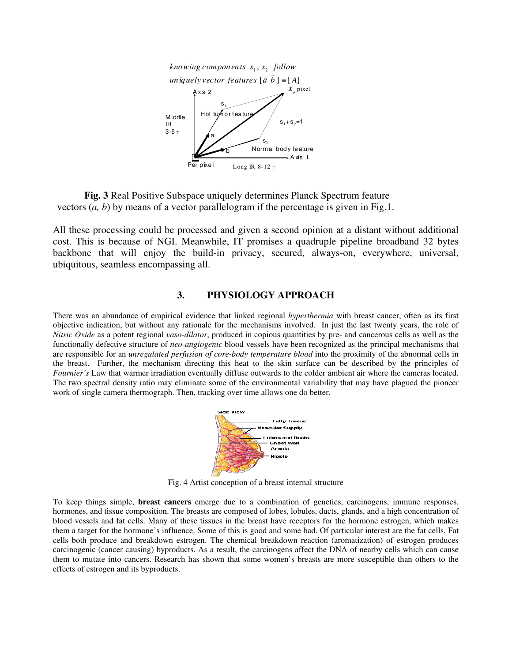

**Fig. 3** Real Positive Subspace uniquely determines Planck Spectrum feature vectors (*a, b*) by means of a vector parallelogram if the percentage is given in Fig.1.

All these processing could be processed and given a second opinion at a distant without additional cost. This is because of NGI. Meanwhile, IT promises a quadruple pipeline broadband 32 bytes backbone that will enjoy the build-in privacy, secured, always-on, everywhere, universal, ubiquitous, seamless encompassing all.

## **3. PHYSIOLOGY APPROACH**

There was an abundance of empirical evidence that linked regional *hyperthermia* with breast cancer, often as its first objective indication, but without any rationale for the mechanisms involved. In just the last twenty years, the role of *Nitric Oxide* as a potent regional *vaso-dilator*, produced in copious quantities by pre- and cancerous cells as well as the functionally defective structure of *neo-angiogenic* blood vessels have been recognized as the principal mechanisms that are responsible for an *unregulated perfusion of core-body temperature blood* into the proximity of the abnormal cells in the breast. Further, the mechanism directing this heat to the skin surface can be described by the principles of *Fournier's* Law that warmer irradiation eventually diffuse outwards to the colder ambient air where the cameras located. The two spectral density ratio may eliminate some of the environmental variability that may have plagued the pioneer work of single camera thermograph. Then, tracking over time allows one do better.



Fig. 4 Artist conception of a breast internal structure

To keep things simple, **breast cancers** emerge due to a combination of genetics, carcinogens, immune responses, hormones, and tissue composition. The breasts are composed of lobes, lobules, ducts, glands, and a high concentration of blood vessels and fat cells. Many of these tissues in the breast have receptors for the hormone estrogen, which makes them a target for the hormone's influence. Some of this is good and some bad. Of particular interest are the fat cells. Fat cells both produce and breakdown estrogen. The chemical breakdown reaction (aromatization) of estrogen produces carcinogenic (cancer causing) byproducts. As a result, the carcinogens affect the DNA of nearby cells which can cause them to mutate into cancers. Research has shown that some women's breasts are more susceptible than others to the effects of estrogen and its byproducts.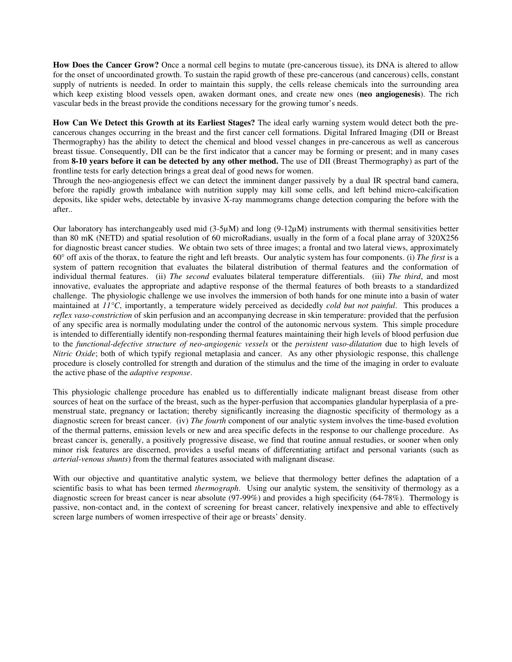**How Does the Cancer Grow?** Once a normal cell begins to mutate (pre-cancerous tissue), its DNA is altered to allow for the onset of uncoordinated growth. To sustain the rapid growth of these pre-cancerous (and cancerous) cells, constant supply of nutrients is needed. In order to maintain this supply, the cells release chemicals into the surrounding area which keep existing blood vessels open, awaken dormant ones, and create new ones (**neo angiogenesis**). The rich vascular beds in the breast provide the conditions necessary for the growing tumor's needs.

**How Can We Detect this Growth at its Earliest Stages?** The ideal early warning system would detect both the precancerous changes occurring in the breast and the first cancer cell formations. Digital Infrared Imaging (DII or Breast Thermography) has the ability to detect the chemical and blood vessel changes in pre-cancerous as well as cancerous breast tissue. Consequently, DII can be the first indicator that a cancer may be forming or present; and in many cases from **8-10 years before it can be detected by any other method.** The use of DII (Breast Thermography) as part of the frontline tests for early detection brings a great deal of good news for women.

Through the neo-angiogenesis effect we can detect the imminent danger passively by a dual IR spectral band camera, before the rapidly growth imbalance with nutrition supply may kill some cells, and left behind micro-calcification deposits, like spider webs, detectable by invasive X-ray mammograms change detection comparing the before with the after..

Our laboratory has interchangeably used mid  $(3-5\mu M)$  and long  $(9-12\mu M)$  instruments with thermal sensitivities better than 80 mK (NETD) and spatial resolution of 60 microRadians, usually in the form of a focal plane array of 320X256 for diagnostic breast cancer studies. We obtain two sets of three images; a frontal and two lateral views, approximately 60° off axis of the thorax, to feature the right and left breasts. Our analytic system has four components. (i) *The first* is a system of pattern recognition that evaluates the bilateral distribution of thermal features and the conformation of individual thermal features. (ii) *The second* evaluates bilateral temperature differentials. (iii) *The third*, and most innovative, evaluates the appropriate and adaptive response of the thermal features of both breasts to a standardized challenge. The physiologic challenge we use involves the immersion of both hands for one minute into a basin of water maintained at *11°C*, importantly, a temperature widely perceived as decidedly *cold but not painful*. This produces a *reflex vaso-constriction* of skin perfusion and an accompanying decrease in skin temperature: provided that the perfusion of any specific area is normally modulating under the control of the autonomic nervous system. This simple procedure is intended to differentially identify non-responding thermal features maintaining their high levels of blood perfusion due to the *functional-defective structure of neo-angiogenic vessels* or the *persistent vaso-dilatation* due to high levels of *Nitric Oxide*; both of which typify regional metaplasia and cancer. As any other physiologic response, this challenge procedure is closely controlled for strength and duration of the stimulus and the time of the imaging in order to evaluate the active phase of the *adaptive response*.

This physiologic challenge procedure has enabled us to differentially indicate malignant breast disease from other sources of heat on the surface of the breast, such as the hyper-perfusion that accompanies glandular hyperplasia of a premenstrual state, pregnancy or lactation; thereby significantly increasing the diagnostic specificity of thermology as a diagnostic screen for breast cancer. (iv) *The fourth* component of our analytic system involves the time-based evolution of the thermal patterns, emission levels or new and area specific defects in the response to our challenge procedure. As breast cancer is, generally, a positively progressive disease, we find that routine annual restudies, or sooner when only minor risk features are discerned, provides a useful means of differentiating artifact and personal variants (such as *arterial-venous shunts*) from the thermal features associated with malignant disease.

With our objective and quantitative analytic system, we believe that thermology better defines the adaptation of a scientific basis to what has been termed *thermograph*. Using our analytic system, the sensitivity of thermology as a diagnostic screen for breast cancer is near absolute (97-99%) and provides a high specificity (64-78%). Thermology is passive, non-contact and, in the context of screening for breast cancer, relatively inexpensive and able to effectively screen large numbers of women irrespective of their age or breasts' density.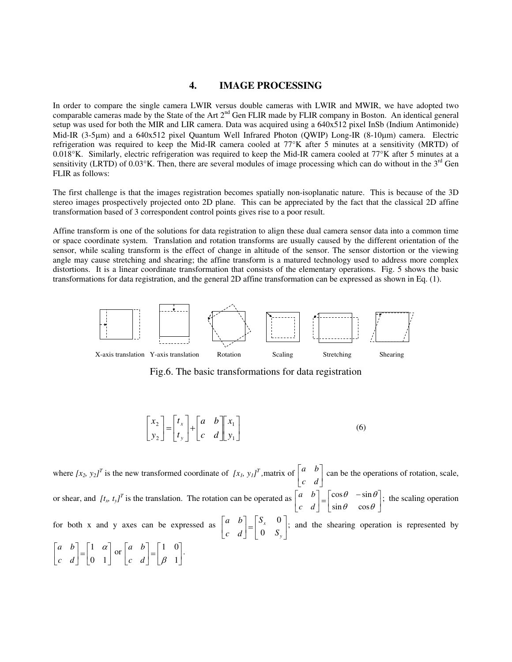#### **4. IMAGE PROCESSING**

In order to compare the single camera LWIR versus double cameras with LWIR and MWIR, we have adopted two comparable cameras made by the State of the Art 2<sup>nd</sup> Gen FLIR made by FLIR company in Boston. An identical general setup was used for both the MIR and LIR camera. Data was acquired using a 640x512 pixel InSb (Indium Antimonide) Mid-IR (3-5μm) and a 640x512 pixel Quantum Well Infrared Photon (QWIP) Long-IR (8-10μm) camera. Electric refrigeration was required to keep the Mid-IR camera cooled at 77°K after 5 minutes at a sensitivity (MRTD) of 0.018°K. Similarly, electric refrigeration was required to keep the Mid-IR camera cooled at 77°K after 5 minutes at a sensitivity (LRTD) of  $0.03^{\circ}$ K. Then, there are several modules of image processing which can do without in the 3<sup>rd</sup> Gen FLIR as follows:

The first challenge is that the images registration becomes spatially non-isoplanatic nature. This is because of the 3D stereo images prospectively projected onto 2D plane. This can be appreciated by the fact that the classical 2D affine transformation based of 3 correspondent control points gives rise to a poor result.

Affine transform is one of the solutions for data registration to align these dual camera sensor data into a common time or space coordinate system. Translation and rotation transforms are usually caused by the different orientation of the sensor, while scaling transform is the effect of change in altitude of the sensor. The sensor distortion or the viewing angle may cause stretching and shearing; the affine transform is a matured technology used to address more complex distortions. It is a linear coordinate transformation that consists of the elementary operations. Fig. 5 shows the basic transformations for data registration, and the general 2D affine transformation can be expressed as shown in Eq. (1).



Fig.6. The basic transformations for data registration

$$
\begin{bmatrix} x_2 \\ y_2 \end{bmatrix} = \begin{bmatrix} t_x \\ t_y \end{bmatrix} + \begin{bmatrix} a & b \\ c & d \end{bmatrix} \begin{bmatrix} x_1 \\ y_1 \end{bmatrix}
$$
 (6)

where  $[x_2, y_2]^T$  is the new transformed coordinate of  $[x_1, y_1]^T$ , matrix of  $\begin{bmatrix} a & b \\ c & d \end{bmatrix}$  can be the operations of rotation, scale, or shear, and  $[t_x, t_y]^T$  is the translation. The rotation can be operated as  $\begin{bmatrix} a & b \\ c & d \end{bmatrix} = \begin{bmatrix} \cos \theta & -\sin \theta \\ \sin \theta & \cos \theta \end{bmatrix}$ ; the scaling operation for both x and y axes can be expressed as  $\begin{bmatrix} a & b \\ c & d \end{bmatrix} = \begin{bmatrix} a & b \\ 0 & s \end{bmatrix}$ ; and the shearing operation is represented by  $\left[\begin{array}{cc} a & b \\ c & d \end{array}\right] = \left[\begin{array}{cc} 1 & 0 \\ \beta & 1 \end{array}\right].$  $\overline{\phantom{a}}$ ⎢ ⎣  $\mathsf{L}$ *c d a b* ⎤ ⎢ ⎣  $\mathsf{L}$ *c d a b*  $\overline{\phantom{a}}$ ⎤ ⎢ ⎣  $\lceil \cos \theta \rceil$  –  $\theta$  cos $\theta$  $\theta$  -sin $\theta$  $\sin \theta$  cos  $\cos \theta$  -sin ⎦  $\overline{\phantom{a}}$  $\parallel$ ⎣  $\begin{bmatrix} \phantom{-} & \phantom{-} \\ \phantom{-} & \phantom{-} \\ \phantom{-} & \phantom{-} \\ \phantom{-} & \phantom{-} \\ \phantom{-} & \phantom{-} \\ \phantom{-} & \phantom{-} \\ \phantom{-} & \phantom{-} \\ \phantom{-} & \phantom{-} \\ \phantom{-} & \phantom{-} \\ \phantom{-} & \phantom{-} \\ \phantom{-} & \phantom{-} \\ \phantom{-} & \phantom{-} \\ \phantom{-} & \phantom{-} \\ \phantom{-} & \phantom{-} \\ \phantom{-} & \phantom{-} \\ \phantom{-} & \phantom{-} \\ \phantom{-} & \phantom{-} \\ \phantom{-} & \phantom{-$ ⎤ ⎢ ⎣  $\mathsf{L}$ *y x S S c d a b* 0 0 ⎤ ⎢ ⎣  $\begin{bmatrix} \phantom{\Big|} \phantom{\Big|} \end{bmatrix} = \begin{bmatrix} \phantom{\Big|} \phantom{\Big|} \end{bmatrix}$ ⎤ ⎢ ⎣  $\mathsf{L}$ 0 1 1 <sup>α</sup> *c d a b*  $\frac{1}{2}$ ⎤ ⎢ ⎣  $\begin{bmatrix} \phantom{\Big|} \\ \phantom{\phantom{\Big|}} \\ \phantom{\phantom{\Big|}} \end{bmatrix} = \begin{bmatrix} \phantom{\Big|} \\ \phantom{\phantom{\Big|}} \\ \phantom{\phantom{\Big|}} \end{bmatrix}$ ⎤ ⎢ ⎣  $\mathsf{L}$ 1 1 0 *c d* |  $\beta$ *a b*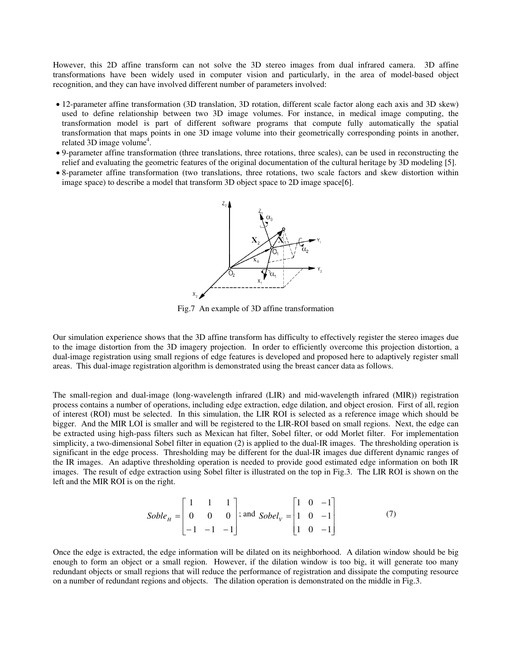However, this 2D affine transform can not solve the 3D stereo images from dual infrared camera. 3D affine transformations have been widely used in computer vision and particularly, in the area of model-based object recognition, and they can have involved different number of parameters involved:

- 12-parameter affine transformation (3D translation, 3D rotation, different scale factor along each axis and 3D skew) used to define relationship between two 3D image volumes. For instance, in medical image computing, the transformation model is part of different software programs that compute fully automatically the spatial transformation that maps points in one 3D image volume into their geometrically corresponding points in another, related 3D image volume<sup>4</sup>.
- 9-parameter affine transformation (three translations, three rotations, three scales), can be used in reconstructing the relief and evaluating the geometric features of the original documentation of the cultural heritage by 3D modeling [5].
- 8-parameter affine transformation (two translations, three rotations, two scale factors and skew distortion within image space) to describe a model that transform 3D object space to 2D image space[6].



Fig.7 An example of 3D affine transformation

Our simulation experience shows that the 3D affine transform has difficulty to effectively register the stereo images due to the image distortion from the 3D imagery projection. In order to efficiently overcome this projection distortion, a dual-image registration using small regions of edge features is developed and proposed here to adaptively register small areas. This dual-image registration algorithm is demonstrated using the breast cancer data as follows.

The small-region and dual-image (long-wavelength infrared (LIR) and mid-wavelength infrared (MIR)) registration process contains a number of operations, including edge extraction, edge dilation, and object erosion. First of all, region of interest (ROI) must be selected. In this simulation, the LIR ROI is selected as a reference image which should be bigger. And the MIR LOI is smaller and will be registered to the LIR-ROI based on small regions. Next, the edge can be extracted using high-pass filters such as Mexican hat filter, Sobel filter, or odd Morlet filter. For implementation simplicity, a two-dimensional Sobel filter in equation (2) is applied to the dual-IR images. The thresholding operation is significant in the edge process. Thresholding may be different for the dual-IR images due different dynamic ranges of the IR images. An adaptive thresholding operation is needed to provide good estimated edge information on both IR images. The result of edge extraction using Sobel filter is illustrated on the top in Fig.3. The LIR ROI is shown on the left and the MIR ROI is on the right.

$$
Soble_{H} = \begin{bmatrix} 1 & 1 & 1 \\ 0 & 0 & 0 \\ -1 & -1 & -1 \end{bmatrix}; \text{ and } Sobel_{V} = \begin{bmatrix} 1 & 0 & -1 \\ 1 & 0 & -1 \\ 1 & 0 & -1 \end{bmatrix}
$$
(7)

Once the edge is extracted, the edge information will be dilated on its neighborhood. A dilation window should be big enough to form an object or a small region. However, if the dilation window is too big, it will generate too many redundant objects or small regions that will reduce the performance of registration and dissipate the computing resource on a number of redundant regions and objects. The dilation operation is demonstrated on the middle in Fig.3.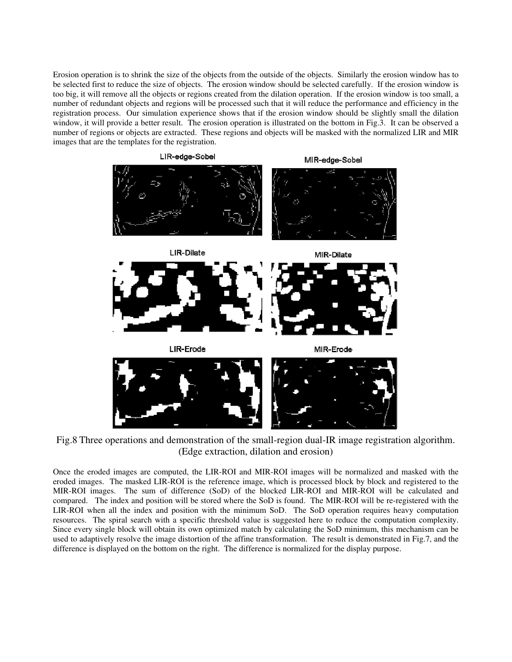Erosion operation is to shrink the size of the objects from the outside of the objects. Similarly the erosion window has to be selected first to reduce the size of objects. The erosion window should be selected carefully. If the erosion window is too big, it will remove all the objects or regions created from the dilation operation. If the erosion window is too small, a number of redundant objects and regions will be processed such that it will reduce the performance and efficiency in the registration process. Our simulation experience shows that if the erosion window should be slightly small the dilation window, it will provide a better result. The erosion operation is illustrated on the bottom in Fig.3. It can be observed a number of regions or objects are extracted. These regions and objects will be masked with the normalized LIR and MIR images that are the templates for the registration.



Fig.8 Three operations and demonstration of the small-region dual-IR image registration algorithm. (Edge extraction, dilation and erosion)

Once the eroded images are computed, the LIR-ROI and MIR-ROI images will be normalized and masked with the eroded images. The masked LIR-ROI is the reference image, which is processed block by block and registered to the MIR-ROI images. The sum of difference (SoD) of the blocked LIR-ROI and MIR-ROI will be calculated and compared. The index and position will be stored where the SoD is found. The MIR-ROI will be re-registered with the LIR-ROI when all the index and position with the minimum SoD. The SoD operation requires heavy computation resources. The spiral search with a specific threshold value is suggested here to reduce the computation complexity. Since every single block will obtain its own optimized match by calculating the SoD minimum, this mechanism can be used to adaptively resolve the image distortion of the affine transformation. The result is demonstrated in Fig.7, and the difference is displayed on the bottom on the right. The difference is normalized for the display purpose.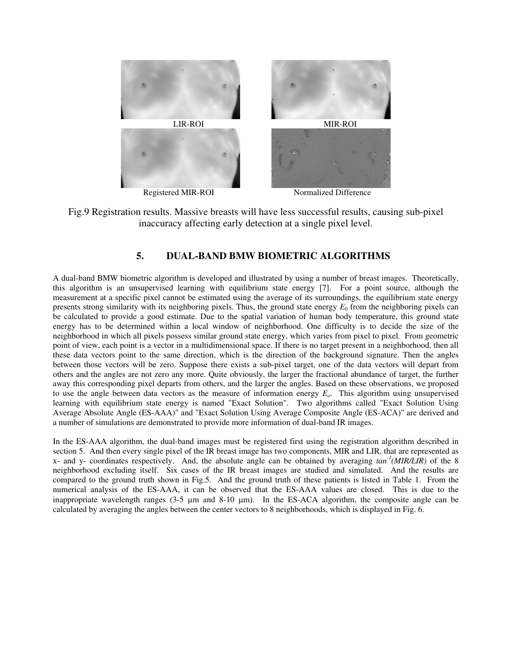

Registered MIR-ROI Normalized Difference

Fig.9 Registration results. Massive breasts will have less successful results, causing sub-pixel inaccuracy affecting early detection at a single pixel level.

## **5. DUAL-BAND BMW BIOMETRIC ALGORITHMS**

A dual-band BMW biometric algorithm is developed and illustrated by using a number of breast images. Theoretically, this algorithm is an unsupervised learning with equilibrium state energy [7]. For a point source, although the measurement at a specific pixel cannot be estimated using the average of its surroundings, the equilibrium state energy presents strong similarity with its neighboring pixels. Thus, the ground state energy  $E_0$  from the neighboring pixels can be calculated to provide a good estimate. Due to the spatial variation of human body temperature, this ground state energy has to be determined within a local window of neighborhood. One difficulty is to decide the size of the neighborhood in which all pixels possess similar ground state energy, which varies from pixel to pixel. From geometric point of view, each point is a vector in a multidimensional space. If there is no target present in a neighborhood, then all these data vectors point to the same direction, which is the direction of the background signature. Then the angles between those vectors will be zero. Suppose there exists a sub-pixel target, one of the data vectors will depart from others and the angles are not zero any more. Quite obviously, the larger the fractional abundance of target, the further away this corresponding pixel departs from others, and the larger the angles. Based on these observations, we proposed to use the angle between data vectors as the measure of information energy *Eo*. This algorithm using unsupervised learning with equilibrium state energy is named "Exact Solution". Two algorithms called "Exact Solution Using Average Absolute Angle (ES-AAA)" and "Exact Solution Using Average Composite Angle (ES-ACA)" are derived and a number of simulations are demonstrated to provide more information of dual-band IR images.

In the ES-AAA algorithm, the dual-band images must be registered first using the registration algorithm described in section 5. And then every single pixel of the IR breast image has two components, MIR and LIR, that are represented as x- and y- coordinates respectively. And, the absolute angle can be obtained by averaging *tan-1(MIR/LIR)* of the 8 neighborhood excluding itself. Six cases of the IR breast images are studied and simulated. And the results are compared to the ground truth shown in Fig.5. And the ground truth of these patients is listed in Table 1. From the numerical analysis of the ES-AAA, it can be observed that the ES-AAA values are closed. This is due to the inappropriate wavelength ranges (3-5 μm and 8-10 μm). In the ES-ACA algorithm, the composite angle can be calculated by averaging the angles between the center vectors to 8 neighborhoods, which is displayed in Fig. 6.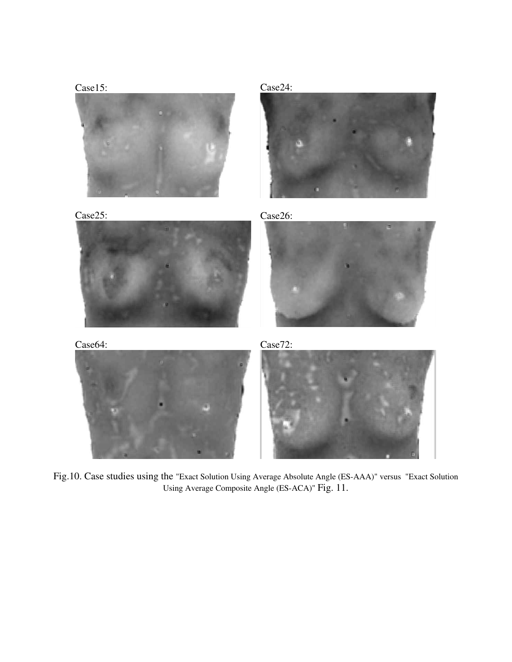





Case25: Case26:









Fig.10. Case studies using the "Exact Solution Using Average Absolute Angle (ES-AAA)" versus "Exact Solution Using Average Composite Angle (ES-ACA)" Fig. 11.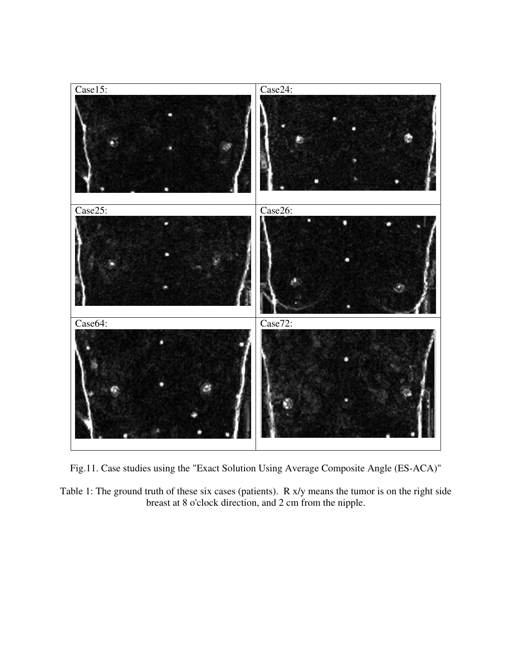

Fig.11. Case studies using the "Exact Solution Using Average Composite Angle (ES-ACA)"

Table 1: The ground truth of these six cases (patients). R x/y means the tumor is on the right side breast at 8 o'clock direction, and 2 cm from the nipple.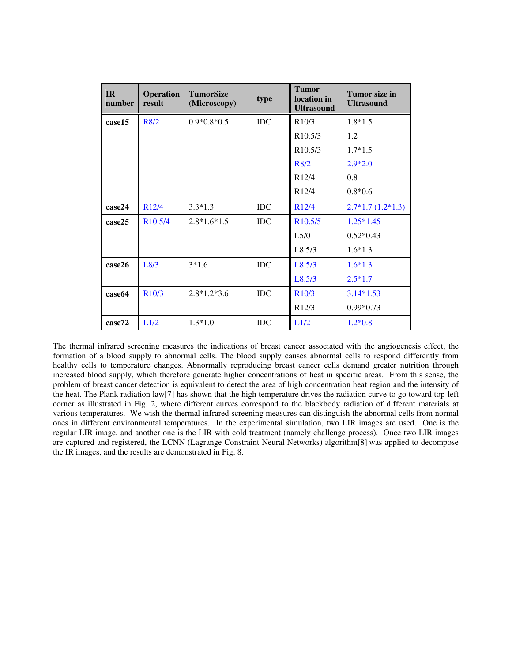| IR<br>number | <b>Operation</b><br>result | <b>TumorSize</b><br>(Microscopy) | type       | <b>Tumor</b><br>location in<br><b>Ultrasound</b> | Tumor size in<br><b>Ultrasound</b> |
|--------------|----------------------------|----------------------------------|------------|--------------------------------------------------|------------------------------------|
| case15       | R8/2                       | $0.9*0.8*0.5$                    | <b>IDC</b> | R10/3                                            | $1.8*1.5$                          |
|              |                            |                                  |            | R <sub>10.5</sub> /3                             | 1.2                                |
|              |                            |                                  |            | R <sub>10.5</sub> /3                             | $1.7*1.5$                          |
|              |                            |                                  |            | R8/2                                             | $2.9*2.0$                          |
|              |                            |                                  |            | R <sub>12</sub> /4                               | 0.8                                |
|              |                            |                                  |            | R <sub>12</sub> /4                               | $0.8*0.6$                          |
| case24       | R <sub>12</sub> /4         | $3.3*1.3$                        | <b>IDC</b> | R <sub>12</sub> /4                               | $2.7*1.7(1.2*1.3)$                 |
| case25       | R <sub>10.5</sub> /4       | $2.8*1.6*1.5$                    | <b>IDC</b> | R <sub>10.5</sub> /5                             | $1.25*1.45$                        |
|              |                            |                                  |            | L5/0                                             | $0.52*0.43$                        |
|              |                            |                                  |            | L8.5/3                                           | $1.6*1.3$                          |
| case26       | L8/3                       | $3*1.6$                          | <b>IDC</b> | L8.5/3                                           | $1.6*1.3$                          |
|              |                            |                                  |            | L8.5/3                                           | $2.5*1.7$                          |
| case64       | R10/3                      | $2.8*1.2*3.6$                    | <b>IDC</b> | R <sub>10</sub> /3                               | $3.14*1.53$                        |
|              |                            |                                  |            | R <sub>12</sub> /3                               | $0.99*0.73$                        |
| case72       | L1/2                       | $1.3*1.0$                        | <b>IDC</b> | L1/2                                             | $1.2*0.8$                          |

The thermal infrared screening measures the indications of breast cancer associated with the angiogenesis effect, the formation of a blood supply to abnormal cells. The blood supply causes abnormal cells to respond differently from healthy cells to temperature changes. Abnormally reproducing breast cancer cells demand greater nutrition through increased blood supply, which therefore generate higher concentrations of heat in specific areas. From this sense, the problem of breast cancer detection is equivalent to detect the area of high concentration heat region and the intensity of the heat. The Plank radiation law[7] has shown that the high temperature drives the radiation curve to go toward top-left corner as illustrated in Fig. 2, where different curves correspond to the blackbody radiation of different materials at various temperatures. We wish the thermal infrared screening measures can distinguish the abnormal cells from normal ones in different environmental temperatures. In the experimental simulation, two LIR images are used. One is the regular LIR image, and another one is the LIR with cold treatment (namely challenge process). Once two LIR images are captured and registered, the LCNN (Lagrange Constraint Neural Networks) algorithm[8] was applied to decompose the IR images, and the results are demonstrated in Fig. 8.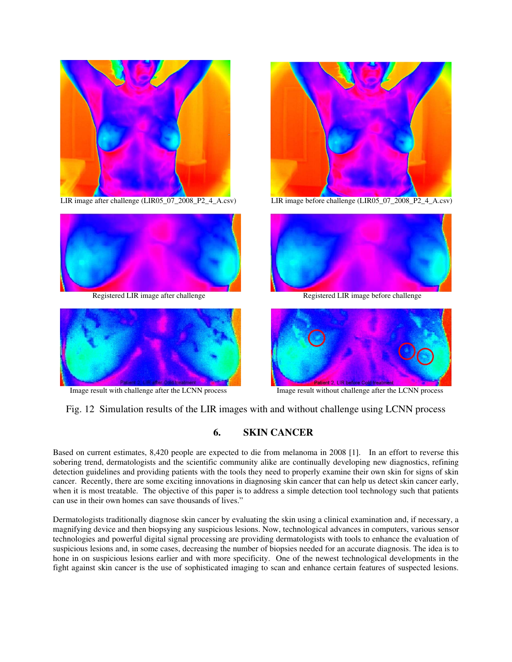

LIR image after challenge (LIR05\_07\_2008\_P2\_4\_A.csv)







LIR image before challenge (LIR05\_07\_2008\_P2\_4\_A.csv)



Registered LIR image after challenge Registered LIR image before challenge



Image result with challenge after the LCNN process Image result without challenge after the LCNN process

Fig. 12 Simulation results of the LIR images with and without challenge using LCNN process

## **6. SKIN CANCER**

Based on current estimates, 8,420 people are expected to die from melanoma in 2008 [1]. In an effort to reverse this sobering trend, dermatologists and the scientific community alike are continually developing new diagnostics, refining detection guidelines and providing patients with the tools they need to properly examine their own skin for signs of skin cancer. Recently, there are some exciting innovations in diagnosing skin cancer that can help us detect skin cancer early, when it is most treatable. The objective of this paper is to address a simple detection tool technology such that patients can use in their own homes can save thousands of lives."

Dermatologists traditionally diagnose skin cancer by evaluating the skin using a clinical examination and, if necessary, a magnifying device and then biopsying any suspicious lesions. Now, technological advances in computers, various sensor technologies and powerful digital signal processing are providing dermatologists with tools to enhance the evaluation of suspicious lesions and, in some cases, decreasing the number of biopsies needed for an accurate diagnosis. The idea is to hone in on suspicious lesions earlier and with more specificity. One of the newest technological developments in the fight against skin cancer is the use of sophisticated imaging to scan and enhance certain features of suspected lesions.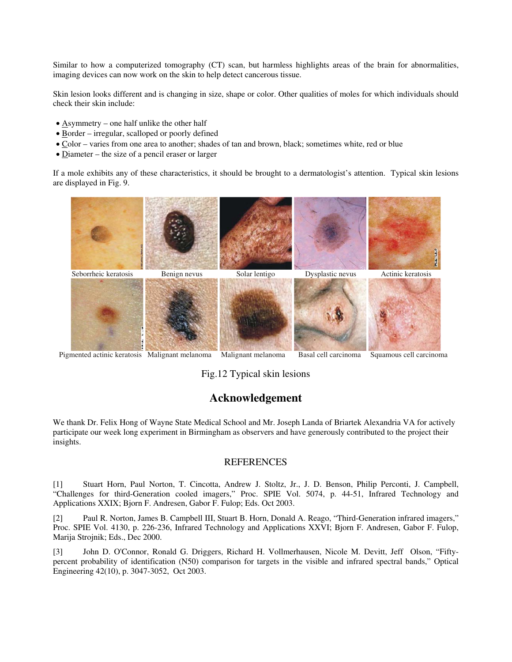Similar to how a computerized tomography (CT) scan, but harmless highlights areas of the brain for abnormalities, imaging devices can now work on the skin to help detect cancerous tissue.

Skin lesion looks different and is changing in size, shape or color. Other qualities of moles for which individuals should check their skin include:

- Asymmetry one half unlike the other half
- Border irregular, scalloped or poorly defined
- Color varies from one area to another; shades of tan and brown, black; sometimes white, red or blue
- Diameter the size of a pencil eraser or larger

If a mole exhibits any of these characteristics, it should be brought to a dermatologist's attention. Typical skin lesions are displayed in Fig. 9.



Pigmented actinic keratosis Malignant melanoma Malignant melanoma Basal cell carcinoma Squamous cell carcinoma

# Fig.12 Typical skin lesions

# **Acknowledgement**

We thank Dr. Felix Hong of Wayne State Medical School and Mr. Joseph Landa of Briartek Alexandria VA for actively participate our week long experiment in Birmingham as observers and have generously contributed to the project their insights.

### **REFERENCES**

[1] Stuart Horn, Paul Norton, T. Cincotta, Andrew J. Stoltz, Jr., J. D. Benson, Philip Perconti, J. Campbell, "Challenges for third-Generation cooled imagers," Proc. SPIE Vol. 5074, p. 44-51, Infrared Technology and Applications XXIX; Bjorn F. Andresen, Gabor F. Fulop; Eds. Oct 2003.

[2] Paul R. Norton, James B. Campbell III, Stuart B. Horn, Donald A. Reago, "Third-Generation infrared imagers," Proc. SPIE Vol. 4130, p. 226-236, Infrared Technology and Applications XXVI; Bjorn F. Andresen, Gabor F. Fulop, Marija Strojnik; Eds., Dec 2000.

[3] John D. O'Connor, Ronald G. Driggers, Richard H. Vollmerhausen, Nicole M. Devitt, Jeff Olson, "Fiftypercent probability of identification (N50) comparison for targets in the visible and infrared spectral bands," Optical Engineering 42(10), p. 3047-3052, Oct 2003.